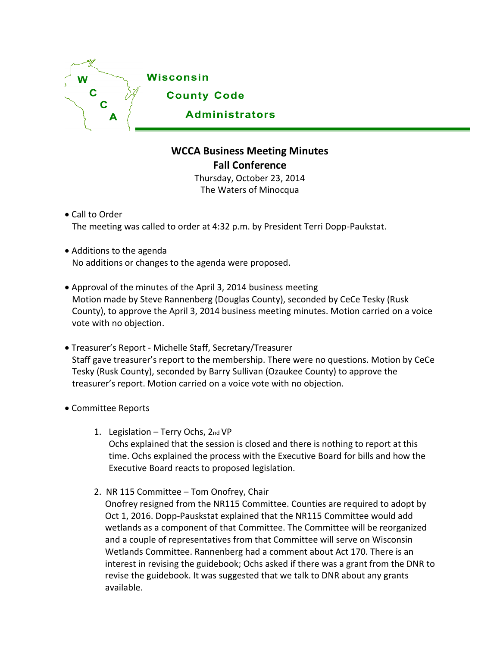

## **WCCA Business Meeting Minutes Fall Conference**

Thursday, October 23, 2014 The Waters of Minocqua

Call to Order The meeting was called to order at 4:32 p.m. by President Terri Dopp-Paukstat.

- Additions to the agenda No additions or changes to the agenda were proposed.
- Approval of the minutes of the April 3, 2014 business meeting Motion made by Steve Rannenberg (Douglas County), seconded by CeCe Tesky (Rusk County), to approve the April 3, 2014 business meeting minutes. Motion carried on a voice vote with no objection.
- Treasurer's Report Michelle Staff, Secretary/Treasurer Staff gave treasurer's report to the membership. There were no questions. Motion by CeCe Tesky (Rusk County), seconded by Barry Sullivan (Ozaukee County) to approve the treasurer's report. Motion carried on a voice vote with no objection.
- Committee Reports
	- 1. Legislation Terry Ochs, 2nd VP Ochs explained that the session is closed and there is nothing to report at this time. Ochs explained the process with the Executive Board for bills and how the Executive Board reacts to proposed legislation.
	- 2. NR 115 Committee Tom Onofrey, Chair

Onofrey resigned from the NR115 Committee. Counties are required to adopt by Oct 1, 2016. Dopp-Pauskstat explained that the NR115 Committee would add wetlands as a component of that Committee. The Committee will be reorganized and a couple of representatives from that Committee will serve on Wisconsin Wetlands Committee. Rannenberg had a comment about Act 170. There is an interest in revising the guidebook; Ochs asked if there was a grant from the DNR to revise the guidebook. It was suggested that we talk to DNR about any grants available.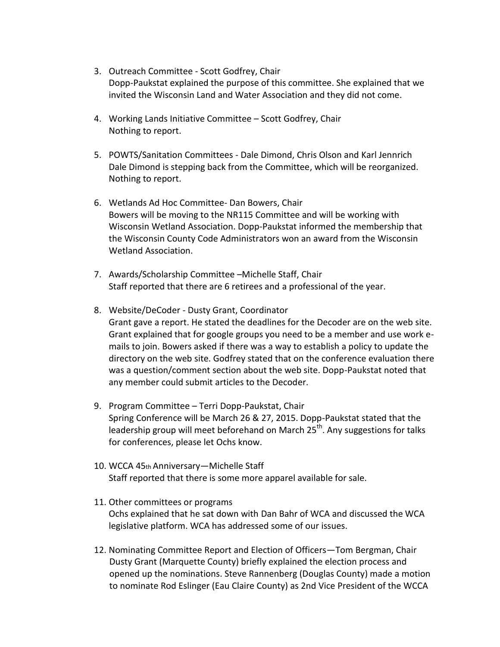- 3. Outreach Committee Scott Godfrey, Chair Dopp-Paukstat explained the purpose of this committee. She explained that we invited the Wisconsin Land and Water Association and they did not come.
- 4. Working Lands Initiative Committee Scott Godfrey, Chair Nothing to report.
- 5. POWTS/Sanitation Committees Dale Dimond, Chris Olson and Karl Jennrich Dale Dimond is stepping back from the Committee, which will be reorganized. Nothing to report.
- 6. Wetlands Ad Hoc Committee- Dan Bowers, Chair Bowers will be moving to the NR115 Committee and will be working with Wisconsin Wetland Association. Dopp-Paukstat informed the membership that the Wisconsin County Code Administrators won an award from the Wisconsin Wetland Association.
- 7. Awards/Scholarship Committee –Michelle Staff, Chair Staff reported that there are 6 retirees and a professional of the year.
- 8. Website/DeCoder Dusty Grant, Coordinator Grant gave a report. He stated the deadlines for the Decoder are on the web site. Grant explained that for google groups you need to be a member and use work emails to join. Bowers asked if there was a way to establish a policy to update the directory on the web site. Godfrey stated that on the conference evaluation there was a question/comment section about the web site. Dopp-Paukstat noted that any member could submit articles to the Decoder.
- 9. Program Committee Terri Dopp-Paukstat, Chair Spring Conference will be March 26 & 27, 2015. Dopp-Paukstat stated that the leadership group will meet beforehand on March 25<sup>th</sup>. Any suggestions for talks for conferences, please let Ochs know.
- 10. WCCA 45th Anniversary—Michelle Staff Staff reported that there is some more apparel available for sale.
- 11. Other committees or programs Ochs explained that he sat down with Dan Bahr of WCA and discussed the WCA legislative platform. WCA has addressed some of our issues.
- 12. Nominating Committee Report and Election of Officers—Tom Bergman, Chair Dusty Grant (Marquette County) briefly explained the election process and opened up the nominations. Steve Rannenberg (Douglas County) made a motion to nominate Rod Eslinger (Eau Claire County) as 2nd Vice President of the WCCA